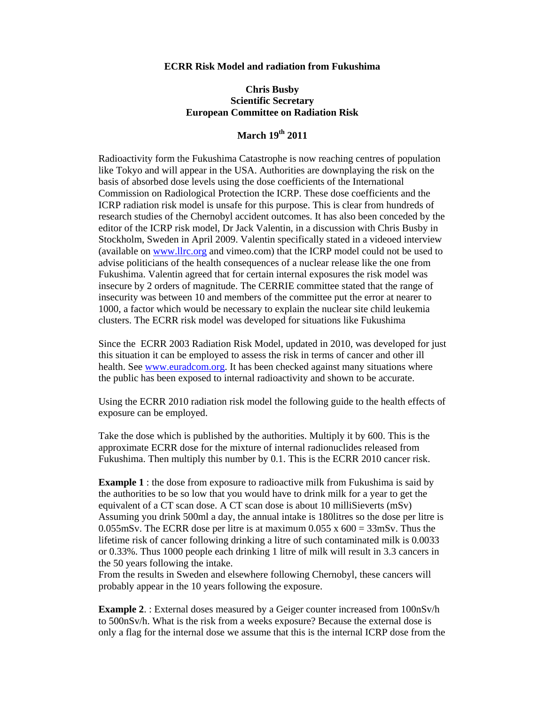## **ECRR Risk Model and radiation from Fukushima**

## **Chris Busby Scientific Secretary European Committee on Radiation Risk**

## **March 19th 2011**

Radioactivity form the Fukushima Catastrophe is now reaching centres of population like Tokyo and will appear in the USA. Authorities are downplaying the risk on the basis of absorbed dose levels using the dose coefficients of the International Commission on Radiological Protection the ICRP. These dose coefficients and the ICRP radiation risk model is unsafe for this purpose. This is clear from hundreds of research studies of the Chernobyl accident outcomes. It has also been conceded by the editor of the ICRP risk model, Dr Jack Valentin, in a discussion with Chris Busby in Stockholm, Sweden in April 2009. Valentin specifically stated in a videoed interview (available on www.llrc.org and vimeo.com) that the ICRP model could not be used to advise politicians of the health consequences of a nuclear release like the one from Fukushima. Valentin agreed that for certain internal exposures the risk model was insecure by 2 orders of magnitude. The CERRIE committee stated that the range of insecurity was between 10 and members of the committee put the error at nearer to 1000, a factor which would be necessary to explain the nuclear site child leukemia clusters. The ECRR risk model was developed for situations like Fukushima

Since the ECRR 2003 Radiation Risk Model, updated in 2010, was developed for just this situation it can be employed to assess the risk in terms of cancer and other ill health. See www.euradcom.org. It has been checked against many situations where the public has been exposed to internal radioactivity and shown to be accurate.

Using the ECRR 2010 radiation risk model the following guide to the health effects of exposure can be employed.

Take the dose which is published by the authorities. Multiply it by 600. This is the approximate ECRR dose for the mixture of internal radionuclides released from Fukushima. Then multiply this number by 0.1. This is the ECRR 2010 cancer risk.

**Example 1** : the dose from exposure to radioactive milk from Fukushima is said by the authorities to be so low that you would have to drink milk for a year to get the equivalent of a CT scan dose. A CT scan dose is about 10 milliSieverts (mSv) Assuming you drink 500ml a day, the annual intake is 180litres so the dose per litre is 0.055mSv. The ECRR dose per litre is at maximum 0.055 x  $600 = 33$ mSv. Thus the lifetime risk of cancer following drinking a litre of such contaminated milk is 0.0033 or 0.33%. Thus 1000 people each drinking 1 litre of milk will result in 3.3 cancers in the 50 years following the intake.

From the results in Sweden and elsewhere following Chernobyl, these cancers will probably appear in the 10 years following the exposure.

**Example 2.** : External doses measured by a Geiger counter increased from 100nSv/h to 500nSv/h. What is the risk from a weeks exposure? Because the external dose is only a flag for the internal dose we assume that this is the internal ICRP dose from the